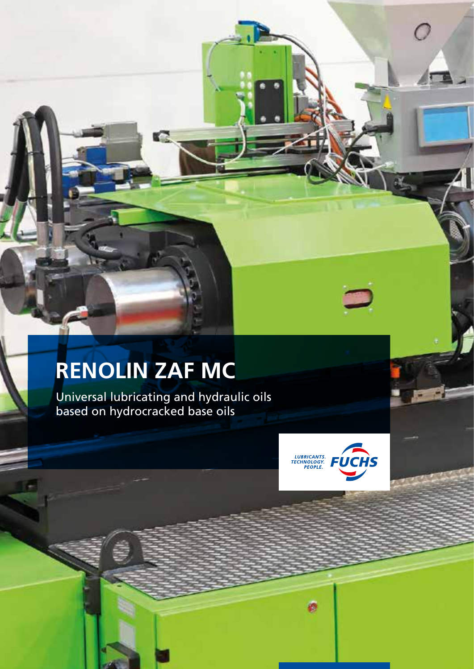# **RENOLIN ZAF MC**

Universal lubricating and hydraulic oils based on hydrocracked base oils

K.



穆

 $\overline{\phantom{a}}$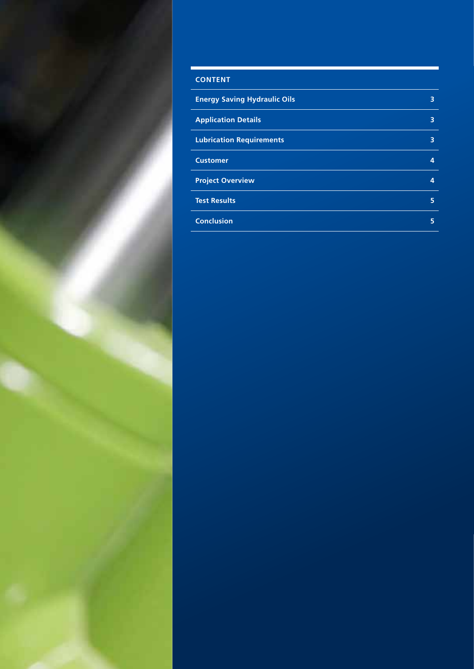

# **CONTENT Energy Saving Hydraulic Oils 3 3 Application Details 3 Lubrication Requirements 3 Customer 4**

| <b>Project Overview</b> | 4 |
|-------------------------|---|
| <b>Test Results</b>     | 5 |
| <b>Conclusion</b>       | 5 |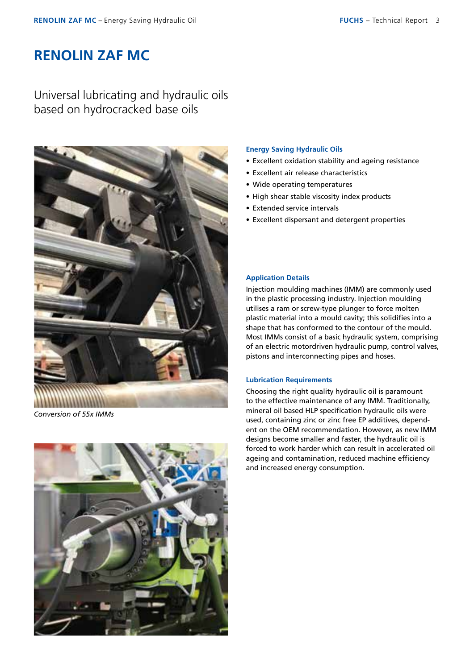## **RENOLIN ZAF MC**

Universal lubricating and hydraulic oils based on hydrocracked base oils



*Conversion of 55x IMMs*



#### **Energy Saving Hydraulic Oils**

- Excellent oxidation stability and ageing resistance
- Excellent air release characteristics
- Wide operating temperatures
- High shear stable viscosity index products
- Extended service intervals
- Excellent dispersant and detergent properties

#### **Application Details**

Injection moulding machines (IMM) are commonly used in the plastic processing industry. Injection moulding utilises a ram or screw-type plunger to force molten plastic material into a mould cavity; this solidifies into a shape that has conformed to the contour of the mould. Most IMMs consist of a basic hydraulic system, comprising of an electric motordriven hydraulic pump, control valves, pistons and interconnecting pipes and hoses.

#### **Lubrication Requirements**

Choosing the right quality hydraulic oil is paramount to the effective maintenance of any IMM. Traditionally, mineral oil based HLP specification hydraulic oils were used, containing zinc or zinc free EP additives, dependent on the OEM recommendation. However, as new IMM designs become smaller and faster, the hydraulic oil is forced to work harder which can result in accelerated oil ageing and contamination, reduced machine efficiency and increased energy consumption.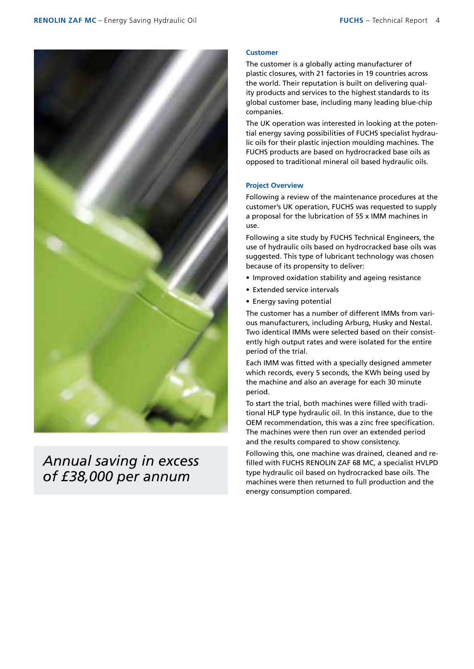

## *Annual saving in excess of £38,000 per annum*

#### **Customer**

The customer is a globally acting manufacturer of plastic closures, with 21 factories in 19 countries across the world. Their reputation is built on delivering quality products and services to the highest standards to its global customer base, including many leading blue-chip companies.

The UK operation was interested in looking at the potential energy saving possibilities of FUCHS specialist hydraulic oils for their plastic injection moulding machines. The FUCHS products are based on hydrocracked base oils as opposed to traditional mineral oil based hydraulic oils.

#### **Project Overview**

Following a review of the maintenance procedures at the customer's UK operation, FUCHS was requested to supply a proposal for the lubrication of 55 x IMM machines in use.

Following a site study by FUCHS Technical Engineers, the use of hydraulic oils based on hydrocracked base oils was suggested. This type of lubricant technology was chosen because of its propensity to deliver:

- Improved oxidation stability and ageing resistance
- Extended service intervals
- Energy saving potential

The customer has a number of different IMMs from various manufacturers, including Arburg, Husky and Nestal. Two identical IMMs were selected based on their consistently high output rates and were isolated for the entire period of the trial.

Each IMM was fitted with a specially designed ammeter which records, every 5 seconds, the KWh being used by the machine and also an average for each 30 minute period.

To start the trial, both machines were filled with traditional HLP type hydraulic oil. In this instance, due to the OEM recommendation, this was a zinc free specification. The machines were then run over an extended period and the results compared to show consistency.

Following this, one machine was drained, cleaned and refilled with FUCHS RENOLIN ZAF 68 MC, a specialist HVLPD type hydraulic oil based on hydrocracked base oils. The machines were then returned to full production and the energy consumption compared.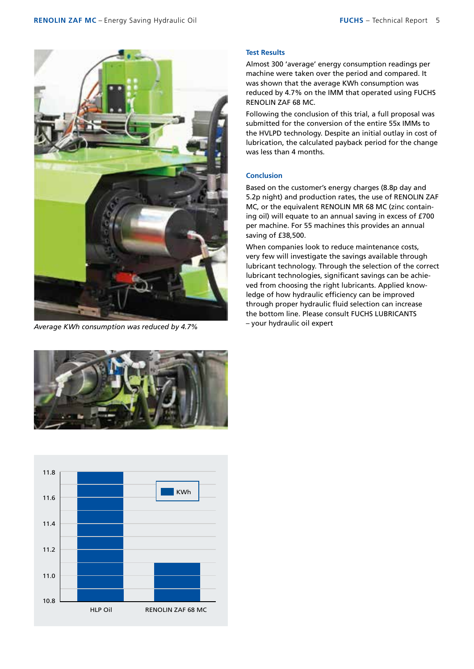

*Average KWh consumption was reduced by 4.7%*





#### **Test Results**

Almost 300 'average' energy consumption readings per machine were taken over the period and compared. It was shown that the average KWh consumption was reduced by 4.7% on the IMM that operated using FUCHS RENOLIN ZAF 68 MC.

Following the conclusion of this trial, a full proposal was submitted for the conversion of the entire 55x IMMs to the HVLPD technology. Despite an initial outlay in cost of lubrication, the calculated payback period for the change was less than 4 months.

#### **Conclusion**

Based on the customer's energy charges (8.8p day and 5.2p night) and production rates, the use of RENOLIN ZAF MC, or the equivalent RENOLIN MR 68 MC (zinc containing oil) will equate to an annual saving in excess of £700 per machine. For 55 machines this provides an annual saving of £38,500.

When companies look to reduce maintenance costs, very few will investigate the savings available through lubricant technology. Through the selection of the correct lubricant technologies, significant savings can be achieved from choosing the right lubricants. Applied knowledge of how hydraulic efficiency can be improved through proper hydraulic fluid selection can increase the bottom line. Please consult FUCHS LUBRICANTS – your hydraulic oil expert